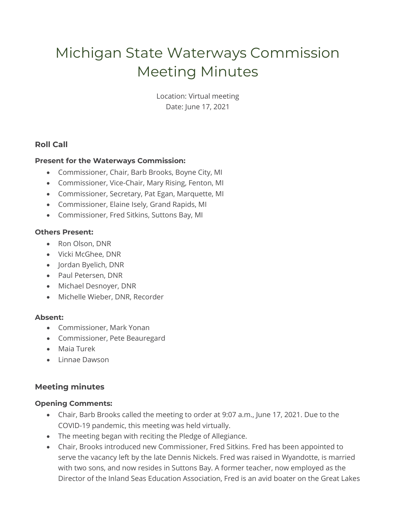# Michigan State Waterways Commission Meeting Minutes

Location: Virtual meeting Date: June 17, 2021

## **Roll Call**

#### **Present for the Waterways Commission:**

- Commissioner, Chair, Barb Brooks, Boyne City, MI
- Commissioner, Vice-Chair, Mary Rising, Fenton, MI
- Commissioner, Secretary, Pat Egan, Marquette, MI
- Commissioner, Elaine Isely, Grand Rapids, MI
- Commissioner, Fred Sitkins, Suttons Bay, MI

#### **Others Present:**

- Ron Olson, DNR
- Vicki McGhee, DNR
- Jordan Byelich, DNR
- Paul Petersen, DNR
- Michael Desnoyer, DNR
- Michelle Wieber, DNR, Recorder

#### **Absent:**

- Commissioner, Mark Yonan
- Commissioner, Pete Beauregard
- Maia Turek
- Linnae Dawson

## **Meeting minutes**

#### **Opening Comments:**

- Chair, Barb Brooks called the meeting to order at 9:07 a.m., June 17, 2021. Due to the COVID-19 pandemic, this meeting was held virtually.
- The meeting began with reciting the Pledge of Allegiance.
- Chair, Brooks introduced new Commissioner, Fred Sitkins. Fred has been appointed to serve the vacancy left by the late Dennis Nickels. Fred was raised in Wyandotte, is married with two sons, and now resides in Suttons Bay. A former teacher, now employed as the Director of the Inland Seas Education Association, Fred is an avid boater on the Great Lakes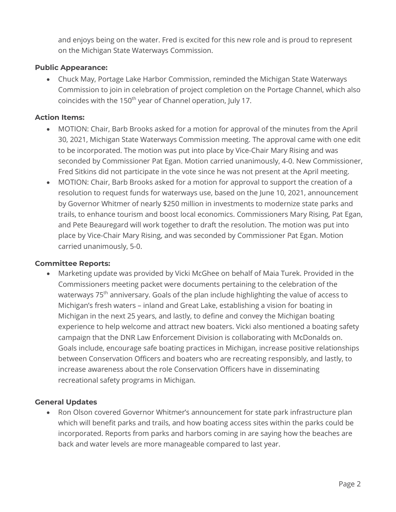and enjoys being on the water. Fred is excited for this new role and is proud to represent on the Michigan State Waterways Commission.

#### **Public Appearance:**

• Chuck May, Portage Lake Harbor Commission, reminded the Michigan State Waterways Commission to join in celebration of project completion on the Portage Channel, which also coincides with the 150<sup>th</sup> year of Channel operation, July 17.

#### **Action Items:**

- MOTION: Chair, Barb Brooks asked for a motion for approval of the minutes from the April 30, 2021, Michigan State Waterways Commission meeting. The approval came with one edit to be incorporated. The motion was put into place by Vice-Chair Mary Rising and was seconded by Commissioner Pat Egan. Motion carried unanimously, 4-0. New Commissioner, Fred Sitkins did not participate in the vote since he was not present at the April meeting.
- MOTION: Chair, Barb Brooks asked for a motion for approval to support the creation of a resolution to request funds for waterways use, based on the June 10, 2021, announcement by Governor Whitmer of nearly \$250 million in investments to modernize state parks and trails, to enhance tourism and boost local economics. Commissioners Mary Rising, Pat Egan, and Pete Beauregard will work together to draft the resolution. The motion was put into place by Vice-Chair Mary Rising, and was seconded by Commissioner Pat Egan. Motion carried unanimously, 5-0.

#### **Committee Reports:**

• Marketing update was provided by Vicki McGhee on behalf of Maia Turek. Provided in the Commissioners meeting packet were documents pertaining to the celebration of the waterways 75<sup>th</sup> anniversary. Goals of the plan include highlighting the value of access to Michigan's fresh waters – inland and Great Lake, establishing a vision for boating in Michigan in the next 25 years, and lastly, to define and convey the Michigan boating experience to help welcome and attract new boaters. Vicki also mentioned a boating safety campaign that the DNR Law Enforcement Division is collaborating with McDonalds on. Goals include, encourage safe boating practices in Michigan, increase positive relationships between Conservation Officers and boaters who are recreating responsibly, and lastly, to increase awareness about the role Conservation Officers have in disseminating recreational safety programs in Michigan.

## **General Updates**

• Ron Olson covered Governor Whitmer's announcement for state park infrastructure plan which will benefit parks and trails, and how boating access sites within the parks could be incorporated. Reports from parks and harbors coming in are saying how the beaches are back and water levels are more manageable compared to last year.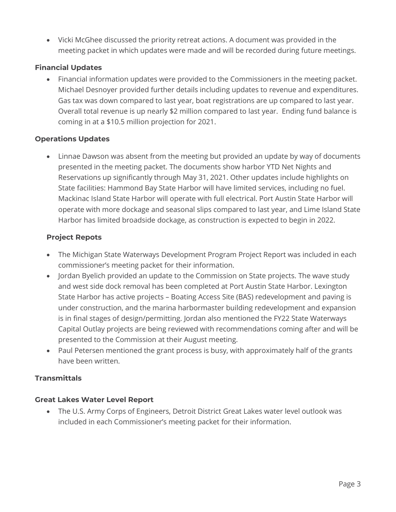• Vicki McGhee discussed the priority retreat actions. A document was provided in the meeting packet in which updates were made and will be recorded during future meetings.

## **Financial Updates**

• Financial information updates were provided to the Commissioners in the meeting packet. Michael Desnoyer provided further details including updates to revenue and expenditures. Gas tax was down compared to last year, boat registrations are up compared to last year. Overall total revenue is up nearly \$2 million compared to last year. Ending fund balance is coming in at a \$10.5 million projection for 2021.

## **Operations Updates**

• Linnae Dawson was absent from the meeting but provided an update by way of documents presented in the meeting packet. The documents show harbor YTD Net Nights and Reservations up significantly through May 31, 2021. Other updates include highlights on State facilities: Hammond Bay State Harbor will have limited services, including no fuel. Mackinac Island State Harbor will operate with full electrical. Port Austin State Harbor will operate with more dockage and seasonal slips compared to last year, and Lime Island State Harbor has limited broadside dockage, as construction is expected to begin in 2022.

## **Project Repots**

- The Michigan State Waterways Development Program Project Report was included in each commissioner's meeting packet for their information.
- Jordan Byelich provided an update to the Commission on State projects. The wave study and west side dock removal has been completed at Port Austin State Harbor. Lexington State Harbor has active projects – Boating Access Site (BAS) redevelopment and paving is under construction, and the marina harbormaster building redevelopment and expansion is in final stages of design/permitting. Jordan also mentioned the FY22 State Waterways Capital Outlay projects are being reviewed with recommendations coming after and will be presented to the Commission at their August meeting.
- Paul Petersen mentioned the grant process is busy, with approximately half of the grants have been written.

## **Transmittals**

## **Great Lakes Water Level Report**

• The U.S. Army Corps of Engineers, Detroit District Great Lakes water level outlook was included in each Commissioner's meeting packet for their information.